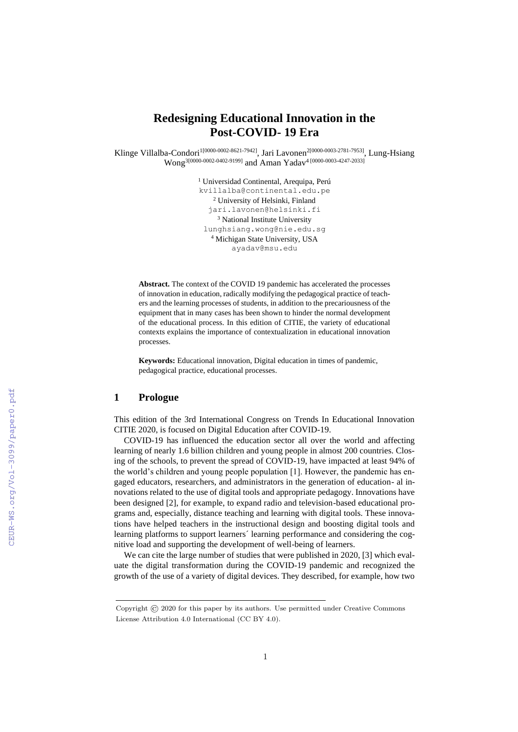## **Redesigning Educational Innovation in the Post-COVID- 19 Era**

Klinge Villalba-Condori<sup>1[0000-0002-8621-7942]</sup>, Jari Lavonen<sup>2[0000-0003-2781-7953]</sup>, Lung-Hsiang Wong<sup>3[0000-0002-0402-9199]</sup> and Aman Yadav<sup>4 [0000-0003-4247-2033]</sup>

> <sup>1</sup> Universidad Continental, Arequipa, Perú kvillalba@continental.edu.pe <sup>2</sup> University of Helsinki, Finland jari.lavonen@helsinki.fi <sup>3</sup> National Institute University lunghsiang.wong@nie.edu.sg <sup>4</sup> Michigan State University, USA ayadav@msu.edu

**Abstract.** The context of the COVID 19 pandemic has accelerated the processes of innovation in education, radically modifying the pedagogical practice of teachers and the learning processes of students, in addition to the precariousness of the equipment that in many cases has been shown to hinder the normal development of the educational process. In this edition of CITIE, the variety of educational contexts explains the importance of contextualization in educational innovation processes.

**Keywords:** Educational innovation, Digital education in times of pandemic, pedagogical practice, educational processes.

## **1 Prologue**

This edition of the 3rd International Congress on Trends In Educational Innovation CITIE 2020, is focused on Digital Education after COVID-19.

COVID-19 has influenced the education sector all over the world and affecting learning of nearly 1.6 billion children and young people in almost 200 countries. Closing of the schools, to prevent the spread of COVID-19, have impacted at least 94% of the world's children and young people population [1]. However, the pandemic has engaged educators, researchers, and administrators in the generation of education- al innovations related to the use of digital tools and appropriate pedagogy. Innovations have been designed [2], for example, to expand radio and television-based educational programs and, especially, distance teaching and learning with digital tools. These innovations have helped teachers in the instructional design and boosting digital tools and learning platforms to support learners´ learning performance and considering the cognitive load and supporting the development of well-being of learners.

We can cite the large number of studies that were published in 2020, [3] which evaluate the digital transformation during the COVID-19 pandemic and recognized the growth of the use of a variety of digital devices. They described, for example, how two

Copyright © 2020 for this paper by its authors. Use permitted under Creative Commons License Attribution 4.0 International (CC BY 4.0).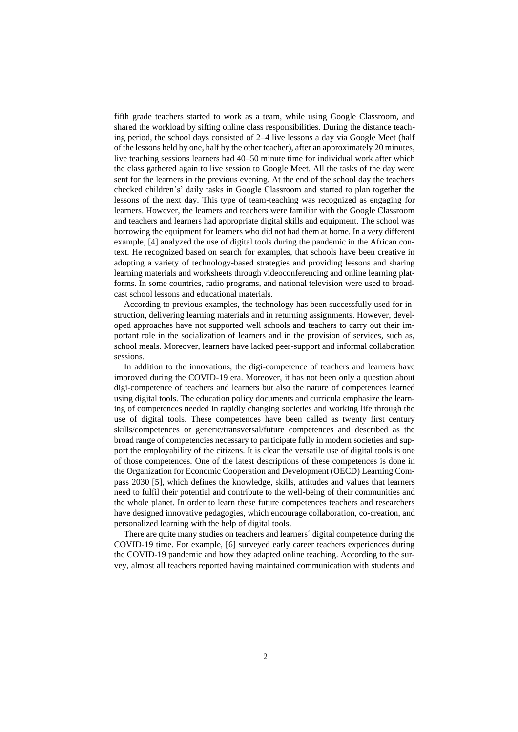fifth grade teachers started to work as a team, while using Google Classroom, and shared the workload by sifting online class responsibilities. During the distance teaching period, the school days consisted of 2–4 live lessons a day via Google Meet (half of the lessons held by one, half by the other teacher), after an approximately 20 minutes, live teaching sessions learners had 40–50 minute time for individual work after which the class gathered again to live session to Google Meet. All the tasks of the day were sent for the learners in the previous evening. At the end of the school day the teachers checked children's' daily tasks in Google Classroom and started to plan together the lessons of the next day. This type of team-teaching was recognized as engaging for learners. However, the learners and teachers were familiar with the Google Classroom and teachers and learners had appropriate digital skills and equipment. The school was borrowing the equipment for learners who did not had them at home. In a very different example, [4] analyzed the use of digital tools during the pandemic in the African context. He recognized based on search for examples, that schools have been creative in adopting a variety of technology-based strategies and providing lessons and sharing learning materials and worksheets through videoconferencing and online learning platforms. In some countries, radio programs, and national television were used to broadcast school lessons and educational materials.

According to previous examples, the technology has been successfully used for instruction, delivering learning materials and in returning assignments. However, developed approaches have not supported well schools and teachers to carry out their important role in the socialization of learners and in the provision of services, such as, school meals. Moreover, learners have lacked peer-support and informal collaboration sessions.

In addition to the innovations, the digi-competence of teachers and learners have improved during the COVID-19 era. Moreover, it has not been only a question about digi-competence of teachers and learners but also the nature of competences learned using digital tools. The education policy documents and curricula emphasize the learning of competences needed in rapidly changing societies and working life through the use of digital tools. These competences have been called as twenty first century skills/competences or generic/transversal/future competences and described as the broad range of competencies necessary to participate fully in modern societies and support the employability of the citizens. It is clear the versatile use of digital tools is one of those competences. One of the latest descriptions of these competences is done in the Organization for Economic Cooperation and Development (OECD) Learning Compass 2030 [5], which defines the knowledge, skills, attitudes and values that learners need to fulfil their potential and contribute to the well-being of their communities and the whole planet. In order to learn these future competences teachers and researchers have designed innovative pedagogies, which encourage collaboration, co-creation, and personalized learning with the help of digital tools.

There are quite many studies on teachers and learners´ digital competence during the COVID-19 time. For example, [6] surveyed early career teachers experiences during the COVID-19 pandemic and how they adapted online teaching. According to the survey, almost all teachers reported having maintained communication with students and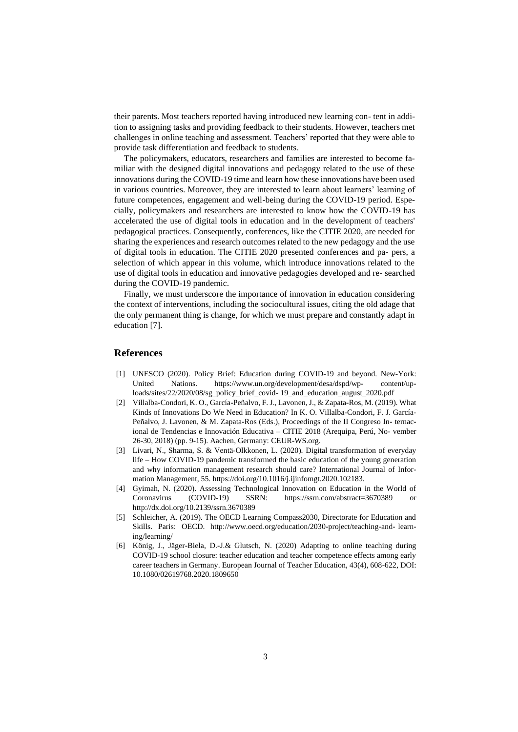their parents. Most teachers reported having introduced new learning con- tent in addition to assigning tasks and providing feedback to their students. However, teachers met challenges in online teaching and assessment. Teachers' reported that they were able to provide task differentiation and feedback to students.

The policymakers, educators, researchers and families are interested to become familiar with the designed digital innovations and pedagogy related to the use of these innovations during the COVID-19 time and learn how these innovations have been used in various countries. Moreover, they are interested to learn about learners' learning of future competences, engagement and well-being during the COVID-19 period. Especially, policymakers and researchers are interested to know how the COVID-19 has accelerated the use of digital tools in education and in the development of teachers' pedagogical practices. Consequently, conferences, like the CITIE 2020, are needed for sharing the experiences and research outcomes related to the new pedagogy and the use of digital tools in education. The CITIE 2020 presented conferences and pa- pers, a selection of which appear in this volume, which introduce innovations related to the use of digital tools in education and innovative pedagogies developed and re- searched during the COVID-19 pandemic.

Finally, we must underscore the importance of innovation in education considering the context of interventions, including the sociocultural issues, citing the old adage that the only permanent thing is change, for which we must prepare and constantly adapt in education [7].

## **References**

- [1] UNESCO (2020). Policy Brief: Education during COVID-19 and beyond. New-York: United Nations. https://www.un.org/development/desa/dspd/wp- content/uploads/sites/22/2020/08/sg\_policy\_brief\_covid- 19\_and\_education\_august\_2020.pdf
- [2] Villalba-Condori, K. O., García-Peñalvo, F. J., Lavonen, J., & Zapata-Ros, M. (2019). What Kinds of Innovations Do We Need in Education? In K. O. Villalba-Condori, F. J. García-Peñalvo, J. Lavonen, & M. Zapata-Ros (Eds.), Proceedings of the II Congreso In- ternacional de Tendencias e Innovación Educativa – CITIE 2018 (Arequipa, Perú, No- vember 26-30, 2018) (pp. 9-15). Aachen, Germany: CEUR-WS.org.
- [3] Livari, N., Sharma, S. & Ventä-Olkkonen, L. (2020). Digital transformation of everyday life – How COVID-19 pandemic transformed the basic education of the young generation and why information management research should care? International Journal of Information Management, 55. https://doi.org/10.1016/j.ijinfomgt.2020.102183.
- [4] Gyimah, N. (2020). Assessing Technological Innovation on Education in the World of Coronavirus (COVID-19) SSRN: https://ssrn.com/abstract=3670389 or http://dx.doi.org/10.2139/ssrn.3670389
- [5] Schleicher, A. (2019). The OECD Learning Compass2030, Directorate for Education and Skills. Paris: OECD. http://www.oecd.org/education/2030-project/teaching-and- learning/learning/
- [6] König, J., Jäger-Biela, D.-J.& Glutsch, N. (2020) Adapting to online teaching during COVID-19 school closure: teacher education and teacher competence effects among early career teachers in Germany. European Journal of Teacher Education, 43(4), 608-622, DOI: 10.1080/02619768.2020.1809650